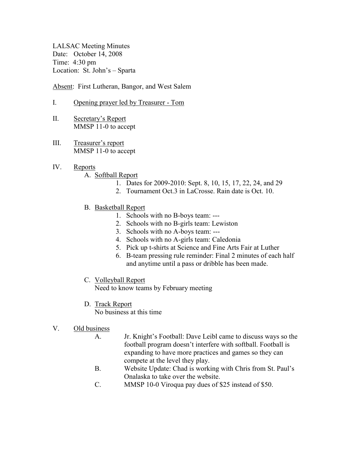LALSAC Meeting Minutes Date: October 14, 2008 Time: 4:30 pm Location: St. John's – Sparta

Absent: First Lutheran, Bangor, and West Salem

- I. Opening prayer led by Treasurer Tom
- II. Secretary's Report MMSP 11-0 to accept
- III. Treasurer's report MMSP 11-0 to accept
- IV. Reports
	- A. Softball Report
		- 1. Dates for 2009-2010: Sept. 8, 10, 15, 17, 22, 24, and 29
		- 2. Tournament Oct.3 in LaCrosse. Rain date is Oct. 10.
	- B. Basketball Report
		- 1. Schools with no B-boys team: ---
		- 2. Schools with no B-girls team: Lewiston
		- 3. Schools with no A-boys team: ---
		- 4. Schools with no A-girls team: Caledonia
		- 5. Pick up t-shirts at Science and Fine Arts Fair at Luther
		- 6. B-team pressing rule reminder: Final 2 minutes of each half and anytime until a pass or dribble has been made.
	- C. Volleyball Report

Need to know teams by February meeting

D. Track Report

No business at this time

- V. Old business
	- A. Jr. Knight's Football: Dave Leibl came to discuss ways so the football program doesn't interfere with softball. Football is expanding to have more practices and games so they can compete at the level they play.
	- B. Website Update: Chad is working with Chris from St. Paul's Onalaska to take over the website.
	- C. MMSP 10-0 Viroqua pay dues of \$25 instead of \$50.